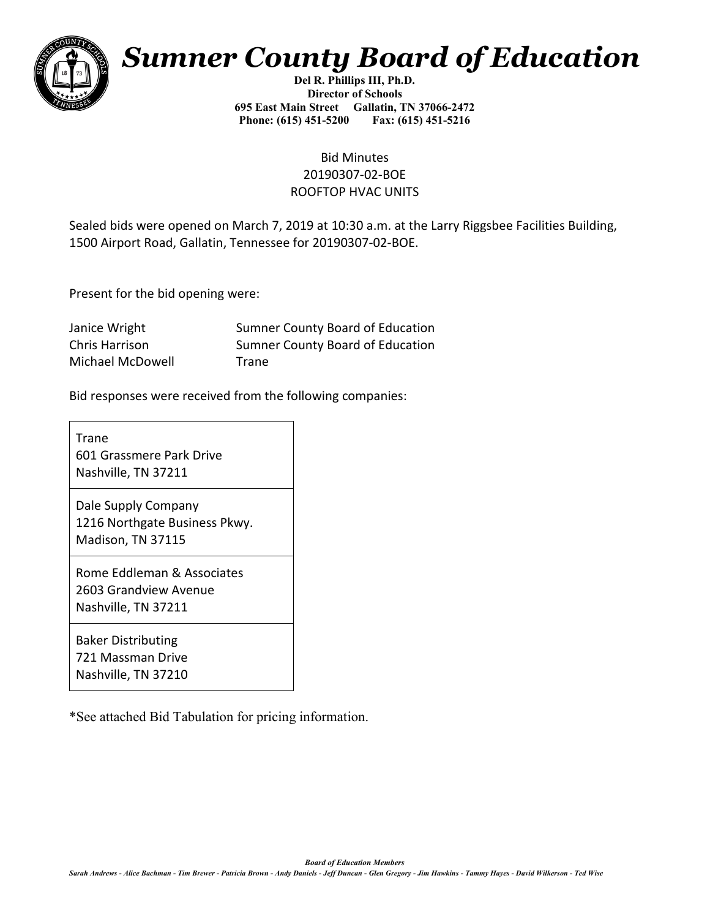

## *Sumner County Board of Education*

**Del R. Phillips III, Ph.D. Director of Schools 695 East Main Street Gallatin, TN 37066-2472 Phone: (615) 451-5200 Fax: (615) 451-5216** 

## Bid Minutes 20190307-02-BOE ROOFTOP HVAC UNITS

Sealed bids were opened on March 7, 2019 at 10:30 a.m. at the Larry Riggsbee Facilities Building, 1500 Airport Road, Gallatin, Tennessee for 20190307-02-BOE.

Present for the bid opening were:

| Janice Wright    | Sumner County Board of Education |
|------------------|----------------------------------|
| Chris Harrison   | Sumner County Board of Education |
| Michael McDowell | Trane                            |

Bid responses were received from the following companies:

Trane 601 Grassmere Park Drive Nashville, TN 37211

Dale Supply Company 1216 Northgate Business Pkwy. Madison, TN 37115

Rome Eddleman & Associates 2603 Grandview Avenue Nashville, TN 37211

Baker Distributing 721 Massman Drive Nashville, TN 37210

\*See attached Bid Tabulation for pricing information.